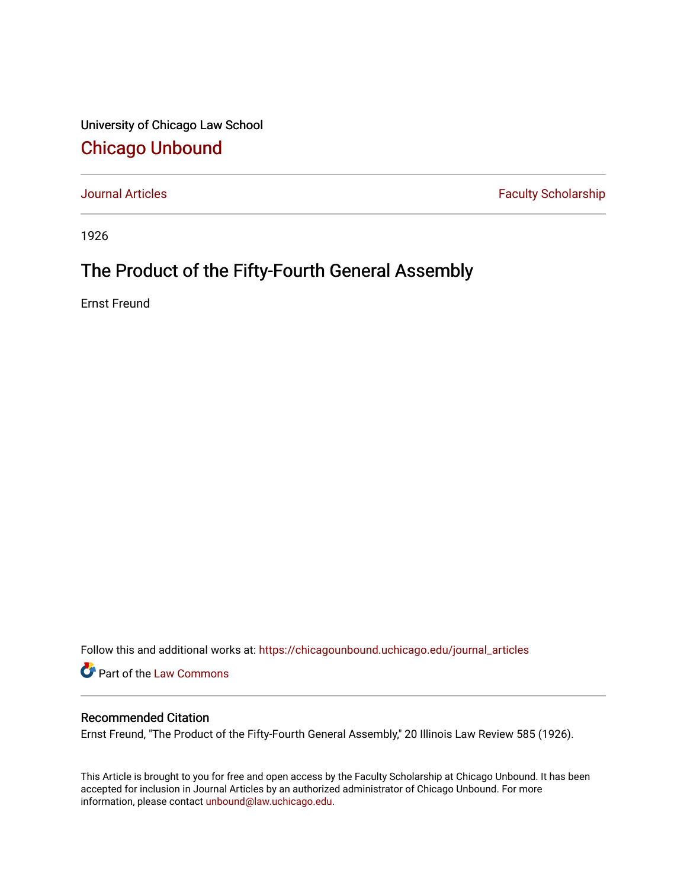University of Chicago Law School [Chicago Unbound](https://chicagounbound.uchicago.edu/)

[Journal Articles](https://chicagounbound.uchicago.edu/journal_articles) **Faculty Scholarship Faculty Scholarship** 

1926

## The Product of the Fifty-Fourth General Assembly

Ernst Freund

Follow this and additional works at: [https://chicagounbound.uchicago.edu/journal\\_articles](https://chicagounbound.uchicago.edu/journal_articles?utm_source=chicagounbound.uchicago.edu%2Fjournal_articles%2F7849&utm_medium=PDF&utm_campaign=PDFCoverPages) 

Part of the [Law Commons](http://network.bepress.com/hgg/discipline/578?utm_source=chicagounbound.uchicago.edu%2Fjournal_articles%2F7849&utm_medium=PDF&utm_campaign=PDFCoverPages)

## Recommended Citation

Ernst Freund, "The Product of the Fifty-Fourth General Assembly," 20 Illinois Law Review 585 (1926).

This Article is brought to you for free and open access by the Faculty Scholarship at Chicago Unbound. It has been accepted for inclusion in Journal Articles by an authorized administrator of Chicago Unbound. For more information, please contact [unbound@law.uchicago.edu](mailto:unbound@law.uchicago.edu).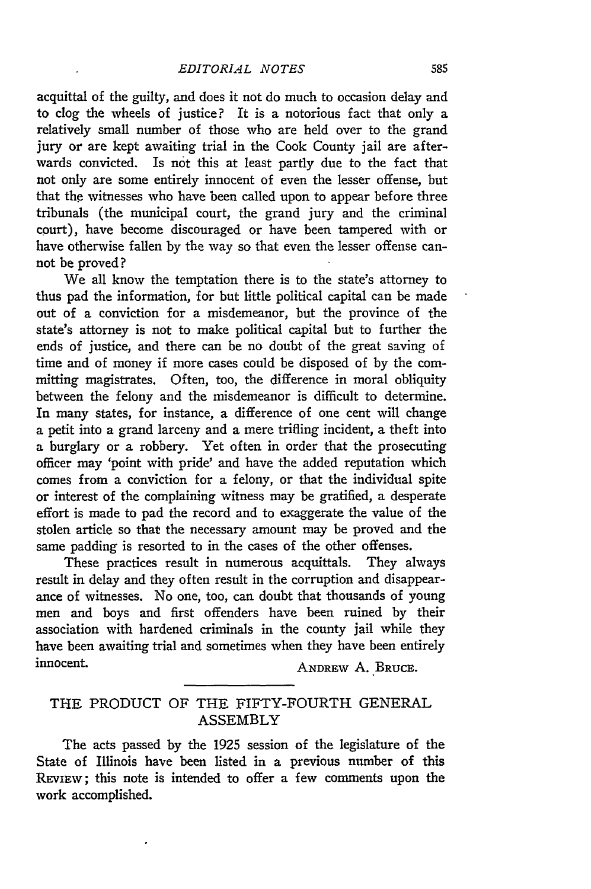acquittal of the guilty, and does it not do much to occasion delay and to clog the wheels of justice? It is a notorious fact that only a relatively small number of those who are held over to the grand jury or are kept awaiting trial in the Cook County jail are afterwards convicted. Is **not** this at least partly due to the fact that not only are some entirely innocent of even the lesser offense, but that the witnesses who have been called upon to appear before three tribunals (the municipal court, the grand jury and the criminal court), have become discouraged or have been tampered with or have otherwise fallen by the way so that even the lesser offense cannot be proved?

We all know the temptation there is to the state's attorney to thus pad the information, for but little political capital can be made out of a conviction for a misdemeanor, but the province of the state's attorney is not to make political capital but to further the ends of justice, and there can be no doubt of the great saving of time and of money if more cases could be disposed of by the committing magistrates. Often, too, the difference in moral obliquity between the felony and the misdemeanor is difficult to determine. In many states, for instance, a difference of one cent will change a petit into a grand larceny and a mere trifling incident, a theft into a burglary or a robbery. Yet often in order that the prosecuting officer may 'point with pride' and have the added reputation which comes from a conviction for a felony, or that the individual spite or interest of the complaining witness may be gratified, a desperate effort is made to pad the record and to exaggerate the value of the stolen article so that the necessary amount may be proved and the same padding is resorted to in the cases of the other offenses.

These practices result in numerous acquittals. They always result in delay and they often result in the corruption and disappearance of witnesses. No one, too, can doubt that thousands of young men and boys and first offenders have been ruined by their association with hardened criminals in the county jail while they have been awaiting trial and sometimes when they have been entirely innocent. **ANDREW A. BRUCE.** 

## THE PRODUCT OF THE FIFTY-FOURTH GENERAL ASSEMBLY

The acts passed by the 1925 session of the legislature of the State of Illinois have been listed in a previous number of this **REvIEw;** this note is intended to offer a few comments upon the work accomplished.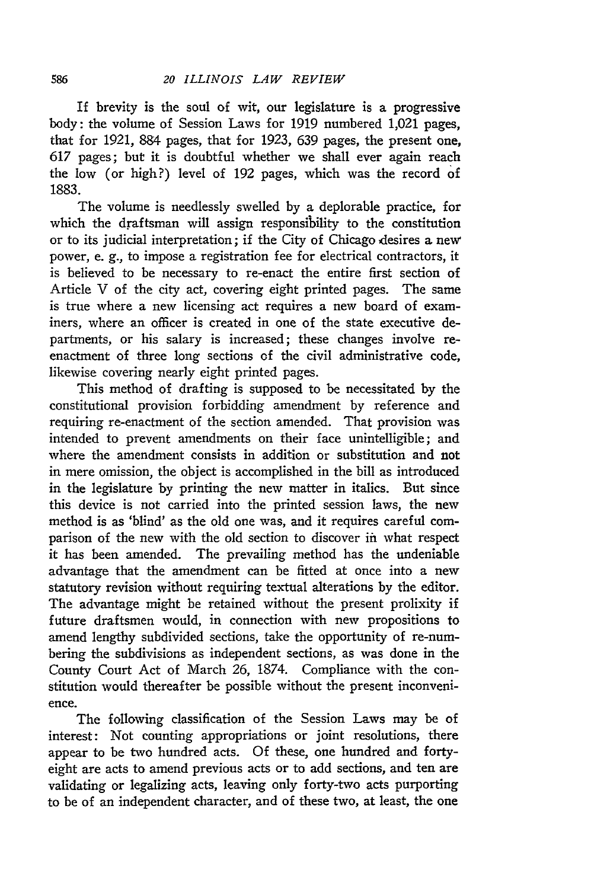If brevity is the soul of wit, our legislature is a progressive body: the volume of Session Laws for 1919 numbered 1,021 pages, that for 1921, 884 pages, that for 1923, 639 pages, the present one, 617 pages; but it is doubtful whether we shall ever again reach the low (or high?) level of 192 pages, which was the record of 1883.

The volume is needlessly swelled by a deplorable practice, for which the draftsman will assign responsibility to the constitution or to its judicial interpretation; if the City of Chicago desires a new power, e. **g.,** to impose a registration fee for electrical contractors, it is believed to be necessary to re-enact the entire first section of Article V of the city act, covering eight printed pages. The same is true where a new licensing act requires a new board of examiners, where an officer is created in one of the state executive departments, or his salary is increased; these changes involve reenactment of three long sections of the civil administrative code, likewise covering nearly eight printed pages.

This method of drafting is supposed to be necessitated by the constitutional provision forbidding amendment by reference and requiring re-enactment of the section amended. That provision was intended to prevent amendments on their face unintelligible; and where the amendment consists in addition or substitution and not in mere omission, the object is accomplished in the bill as introduced in the legislature by printing the new matter in italics. But since this device is not carried into the printed session laws, the new method is as 'blind' as the old one was, and it requires careful comparison of the new with the old section to discover in what respect it has been amended. The prevailing method has the undeniable advantage that the amendment can be fitted at once into a new statutory revision without requiring textual alterations by the editor. The advantage might be retained without the present prolixity if future draftsmen would, in connection with new propositions to amend lengthy subdivided sections, take the opportunity of re-numbering the subdivisions as independent sections, as was done in the County Court Act of March 26, 1874. Compliance with the constitution would thereafter be possible without the present inconvenience.

The following classification of the Session Laws may be of interest: Not counting appropriations or joint resolutions, there appear to be two hundred acts. Of these, one hundred and fortyeight are acts to amend previous acts or to add sections, and ten are validating or legalizing acts, leaving only forty-two acts purporting to be of an independent character, and of these two, at least, the one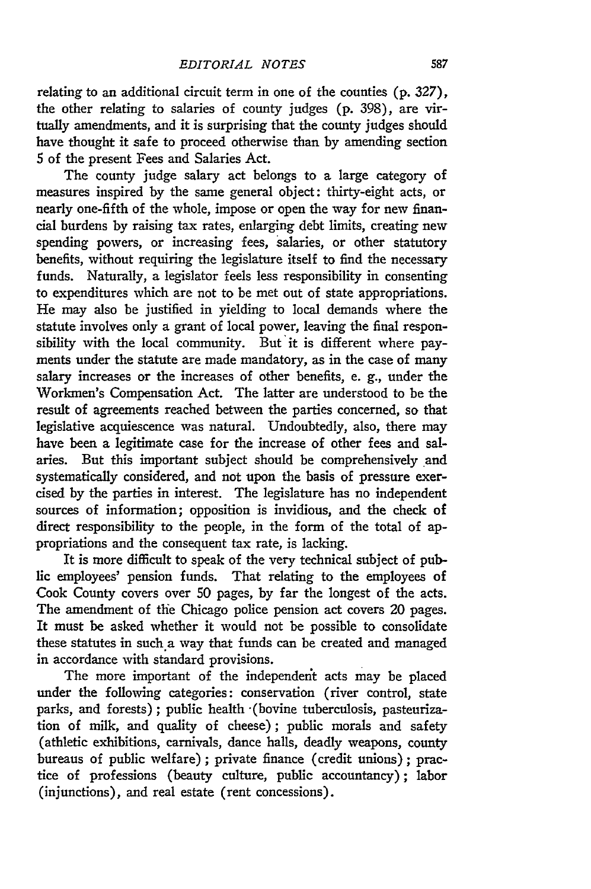relating to an additional circuit term in one of the counties (p. 327), the other relating to salaries of county judges (p. 398), are virtually amendments, and it is surprising that the county judges should have thought it safe to proceed otherwise than by amending section 5 of the present Fees and Salaries Act.

The county judge salary act belongs to a large category of measures inspired by the same general object: thirty-eight acts, or nearly one-fifth of the whole, impose or open the way for new financial burdens by raising tax rates, enlarging debt limits, creating new spending powers, or increasing fees, salaries, or other statutory benefits, without requiring the legislature itself to find the necessary funds. Naturally, a legislator feels less responsibility in consenting to expenditures which are not to be met out of state appropriations. He may also be justified in yielding to local demands where the statute involves only a grant of local power, leaving the final responsibility with the local community. But it is different where payments under the statute are made mandatory, as in the case of many salary increases or the increases of other benefits, e. g., under the Workmen's Compensation Act. The latter are understood to be the result of agreements reached between the parties concerned, so that legislative acquiescence was natural. Undoubtedly, also, there may have been a legitimate case for the increase of other fees and salaries. But this important subject should be comprehensively and systematically considered, and not upon the basis of pressure exercised by the parties in interest. The legislature has no independent sources of information; opposition is invidious, and the check of direct responsibility to the people, in the form of the total of appropriations and the consequent tax rate, is lacking.

It is more difficult to speak of the very technical subject of public employees' pension funds. That relating to the employees of Cook County covers over 50 pages, by far the longest of the acts. The amendment of the Chicago police pension act covers 20 pages. It must be asked whether it would not be possible to consolidate these statutes in such a way that funds can be created and managed in accordance with standard provisions.

The more important of the independerit acts may be placed under the following categories: conservation (river control, state parks, and forests); public health -(bovine tuberculosis, pasteurization of milk, and quality of cheese); public morals and safety (athletic exhibitions, carnivals, dance halls, deadly weapons, county bureaus of public welfare) ; private finance (credit unions); practice of professions (beauty culture, public accountancy); labor (injunctions), and real estate (rent concessions).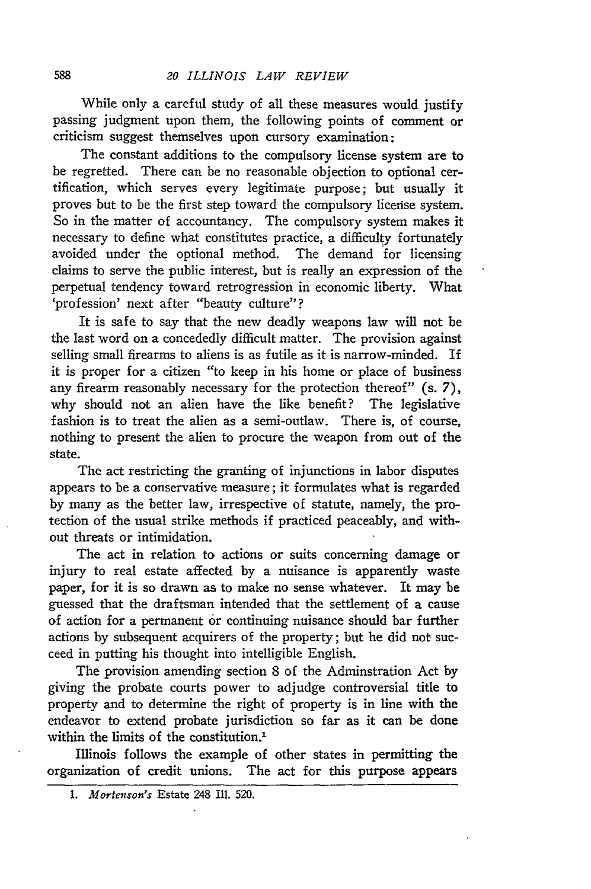While only a careful study of all these measures would justify passing judgment upon them, the following points of comment or criticism suggest themselves upon cursory examination:

The constant additions to the compulsory license system are to be regretted. There can be no reasonable objection to optional certification, which serves every legitimate purpose; but usually it proves but to be the first step toward the compulsory license system. So in the matter of accountancy. The compulsory system makes it necessary to define what constitutes practice, a difficulty fortunately avoided under the optional method. The demand for licensing claims to serve the public interest, but is really an expression of the perpetual tendency toward retrogression in economic liberty. What 'profession' next after "beauty culture"?

It is safe to say that the new deadly weapons law will not be the last word on a concededly difficult matter. The provision against selling small firearms to aliens is as futile as it is narrow-minded. If it is proper for a citizen "to keep in his home or place of business any firearm reasonably necessary for the protection thereof" (s. 7), why should not an alien have the like benefit? The legislative fashion is to treat the alien as a semi-outlaw. There is, of course, nothing to present the alien to procure the weapon from out of the state.

The act restricting the granting of injunctions in labor disputes appears to be a conservative measure; it formulates what is regarded by many as the better law, irrespective of statute, namely, the protection of the usual strike methods if practiced peaceably, and without threats or intimidation.

The act in relation to actions or suits concerning damage or injury to real estate affected by a nuisance is apparently waste paper, for it is so drawn as to make no sense whatever. It may be guessed that the draftsman intended that the settlement of a cause of action for a permanent or continuing nuisance should bar further actions by subsequent acquirers of the property; but he did not succeed in putting his thought into intelligible English.

The provision amending section 8 of the Adminstration Act by giving the probate courts power to adjudge controversial title to property and to determine the right of property is in line with the endeavor to extend probate jurisdiction so far as it can be done within the limits of the constitution.<sup>1</sup>

Illinois follows the example of other states in permitting the organization of credit unions. The act for this purpose appears

<sup>1.</sup> *Mortenson's* Estate 248 Ill. 520.